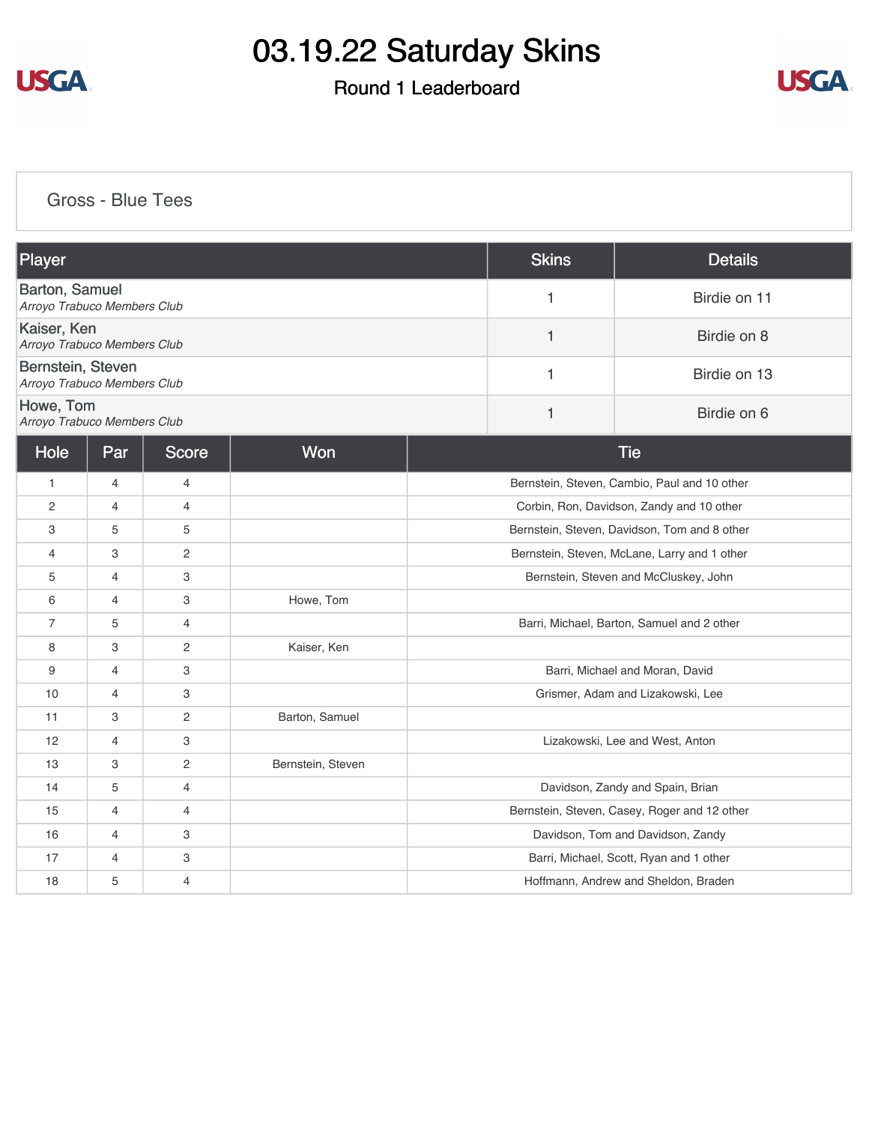

### Round 1 Leaderboard



[Gross - Blue Tees](https://cdn2.golfgenius.com/v2tournaments/8312222072306688428?called_from=&round_index=1)

| Player                                               |                |                |                   |                                              | <b>Skins</b> | <b>Details</b>                               |
|------------------------------------------------------|----------------|----------------|-------------------|----------------------------------------------|--------------|----------------------------------------------|
| <b>Barton, Samuel</b><br>Arroyo Trabuco Members Club |                |                |                   |                                              | 1            | Birdie on 11                                 |
| Kaiser, Ken<br>Arroyo Trabuco Members Club           |                |                |                   |                                              | 1            | Birdie on 8                                  |
| Bernstein, Steven<br>Arroyo Trabuco Members Club     |                |                |                   |                                              | 1            | Birdie on 13                                 |
| Howe, Tom<br>Arroyo Trabuco Members Club             |                |                |                   |                                              | 1            | Birdie on 6                                  |
| Hole                                                 | Par            | <b>Score</b>   | Won               |                                              |              | <b>Tie</b>                                   |
| 1                                                    | $\overline{4}$ | 4              |                   |                                              |              | Bernstein, Steven, Cambio, Paul and 10 other |
| $\overline{c}$                                       | 4              | $\overline{4}$ |                   | Corbin, Ron, Davidson, Zandy and 10 other    |              |                                              |
| 3                                                    | 5              | 5              |                   | Bernstein, Steven, Davidson, Tom and 8 other |              |                                              |
| 4                                                    | 3              | $\mathbf{2}$   |                   | Bernstein, Steven, McLane, Larry and 1 other |              |                                              |
| 5                                                    | 4              | 3              |                   | Bernstein, Steven and McCluskey, John        |              |                                              |
| 6                                                    | 4              | 3              | Howe, Tom         |                                              |              |                                              |
| $\overline{7}$                                       | 5              | $\overline{4}$ |                   | Barri, Michael, Barton, Samuel and 2 other   |              |                                              |
| 8                                                    | 3              | 2              | Kaiser, Ken       |                                              |              |                                              |
| 9                                                    | $\overline{4}$ | 3              |                   | Barri, Michael and Moran, David              |              |                                              |
| 10                                                   | $\overline{4}$ | 3              |                   | Grismer, Adam and Lizakowski, Lee            |              |                                              |
| 11                                                   | 3              | 2              | Barton, Samuel    |                                              |              |                                              |
| 12                                                   | $\overline{4}$ | 3              |                   | Lizakowski, Lee and West, Anton              |              |                                              |
| 13                                                   | 3              | $\mathbf{2}$   | Bernstein, Steven |                                              |              |                                              |
| 14                                                   | 5              | 4              |                   |                                              |              | Davidson, Zandy and Spain, Brian             |
| 15                                                   | 4              | 4              |                   |                                              |              | Bernstein, Steven, Casey, Roger and 12 other |
| 16                                                   | $\overline{4}$ | 3              |                   |                                              |              | Davidson, Tom and Davidson, Zandy            |
| 17                                                   | $\overline{4}$ | 3              |                   |                                              |              | Barri, Michael, Scott, Ryan and 1 other      |
| 18                                                   | 5              | 4              |                   |                                              |              | Hoffmann, Andrew and Sheldon, Braden         |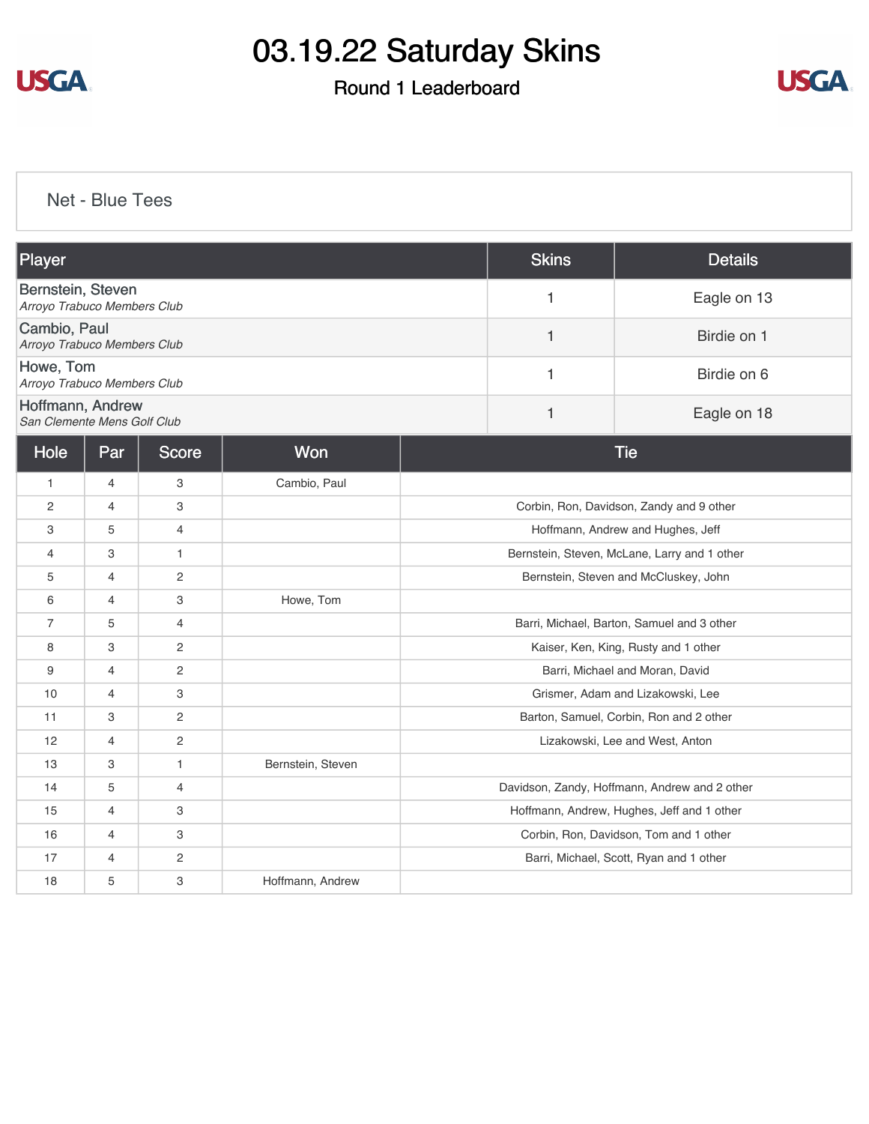

### Round 1 Leaderboard



[Net - Blue Tees](https://cdn2.golfgenius.com/v2tournaments/8308534466905661601?called_from=&round_index=1)

| Player                                           |                |                |                   | <b>Skins</b>                                 | <b>Details</b> |                                               |
|--------------------------------------------------|----------------|----------------|-------------------|----------------------------------------------|----------------|-----------------------------------------------|
| Bernstein, Steven<br>Arroyo Trabuco Members Club |                |                |                   |                                              | 1              | Eagle on 13                                   |
| Cambio, Paul<br>Arroyo Trabuco Members Club      |                |                |                   |                                              | 1              | Birdie on 1                                   |
| Howe, Tom<br>Arroyo Trabuco Members Club         |                |                |                   |                                              | 1              | Birdie on 6                                   |
| Hoffmann, Andrew<br>San Clemente Mens Golf Club  |                |                |                   |                                              | 1              | Eagle on 18                                   |
| Hole                                             | Par            | <b>Score</b>   | Won               | <b>Tie</b>                                   |                |                                               |
| $\mathbf{1}$                                     | 4              | 3              | Cambio, Paul      |                                              |                |                                               |
| $\mathbf{2}^{\prime}$                            | 4              | 3              |                   | Corbin, Ron, Davidson, Zandy and 9 other     |                |                                               |
| 3                                                | 5              | $\overline{4}$ |                   | Hoffmann, Andrew and Hughes, Jeff            |                |                                               |
| 4                                                | 3              | 1              |                   | Bernstein, Steven, McLane, Larry and 1 other |                |                                               |
| 5                                                | $\overline{4}$ | $\overline{2}$ |                   | Bernstein, Steven and McCluskey, John        |                |                                               |
| 6                                                | $\overline{4}$ | 3              | Howe, Tom         |                                              |                |                                               |
| $\overline{7}$                                   | 5              | $\overline{4}$ |                   | Barri, Michael, Barton, Samuel and 3 other   |                |                                               |
| 8                                                | 3              | $\overline{2}$ |                   | Kaiser, Ken, King, Rusty and 1 other         |                |                                               |
| 9                                                | $\overline{4}$ | $\overline{c}$ |                   | Barri, Michael and Moran, David              |                |                                               |
| 10                                               | $\overline{4}$ | 3              |                   | Grismer, Adam and Lizakowski, Lee            |                |                                               |
| 11                                               | 3              | $\overline{2}$ |                   | Barton, Samuel, Corbin, Ron and 2 other      |                |                                               |
| 12                                               | 4              | 2              |                   | Lizakowski, Lee and West, Anton              |                |                                               |
| 13                                               | 3              | $\mathbf{1}$   | Bernstein, Steven |                                              |                |                                               |
| 14                                               | 5              | $\overline{4}$ |                   |                                              |                | Davidson, Zandy, Hoffmann, Andrew and 2 other |
| 15                                               | 4              | 3              |                   |                                              |                | Hoffmann, Andrew, Hughes, Jeff and 1 other    |
| 16                                               | $\overline{4}$ | 3              |                   | Corbin, Ron, Davidson, Tom and 1 other       |                |                                               |
| 17                                               | $\overline{4}$ | $\overline{2}$ |                   |                                              |                | Barri, Michael, Scott, Ryan and 1 other       |
| 18                                               | 5              | 3              | Hoffmann, Andrew  |                                              |                |                                               |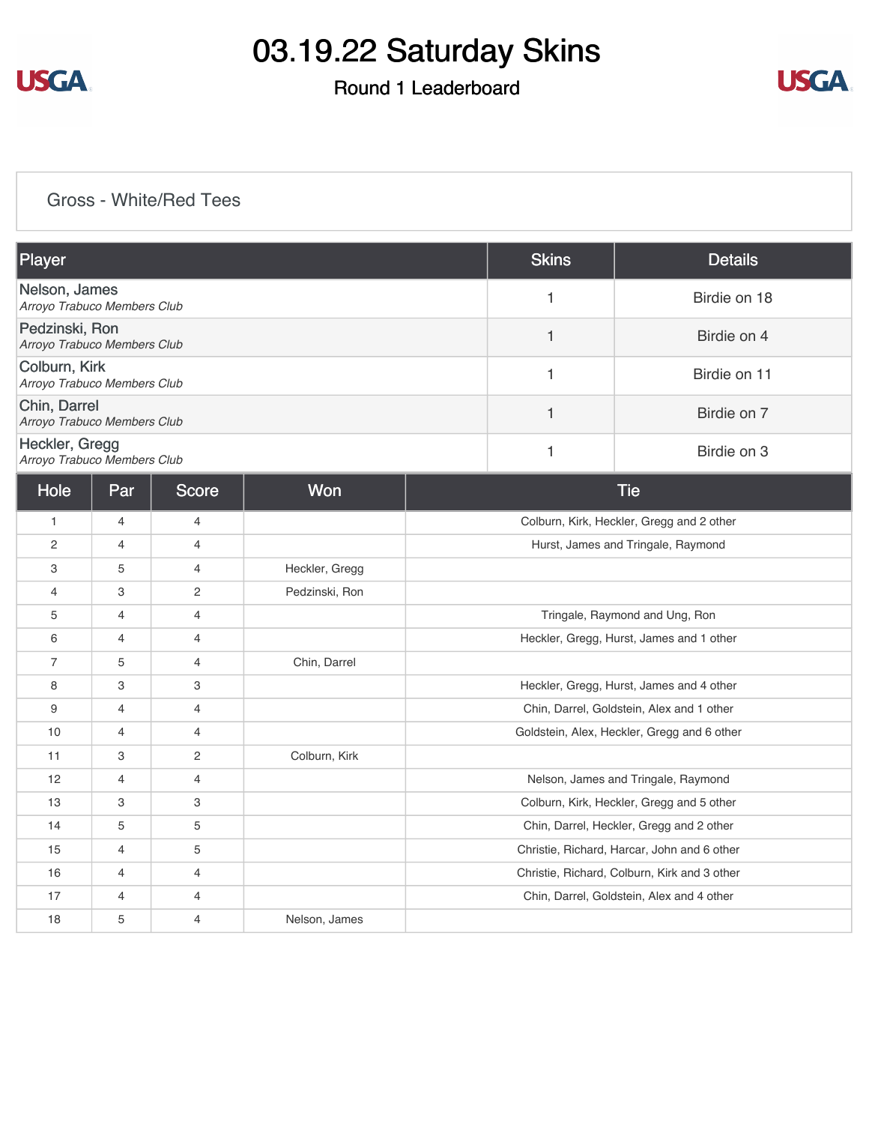

### Round 1 Leaderboard



#### [Gross - White/Red Tees](https://cdn2.golfgenius.com/v2tournaments/8308535561518342306?called_from=&round_index=1)

| Player                                        |                |                |                |  | <b>Skins</b> | <b>Details</b>                               |
|-----------------------------------------------|----------------|----------------|----------------|--|--------------|----------------------------------------------|
| Nelson, James<br>Arroyo Trabuco Members Club  |                |                |                |  | 1            | Birdie on 18                                 |
| Pedzinski, Ron<br>Arroyo Trabuco Members Club |                |                |                |  | 1            | Birdie on 4                                  |
| Colburn, Kirk<br>Arroyo Trabuco Members Club  |                |                |                |  | 1            | Birdie on 11                                 |
| Chin, Darrel<br>Arroyo Trabuco Members Club   |                |                |                |  | 1            | Birdie on 7                                  |
| Heckler, Gregg<br>Arroyo Trabuco Members Club |                |                |                |  | 1            | Birdie on 3                                  |
| Hole                                          | Par            | <b>Score</b>   | Won            |  |              | <b>Tie</b>                                   |
| $\mathbf{1}$                                  | $\overline{4}$ | 4              |                |  |              | Colburn, Kirk, Heckler, Gregg and 2 other    |
| $\overline{c}$                                | $\overline{4}$ | $\overline{4}$ |                |  |              | Hurst, James and Tringale, Raymond           |
| 3                                             | 5              | 4              | Heckler, Gregg |  |              |                                              |
| $\overline{4}$                                | 3              | 2              | Pedzinski, Ron |  |              |                                              |
| 5                                             | $\overline{4}$ | 4              |                |  |              | Tringale, Raymond and Ung, Ron               |
| 6                                             | $\overline{4}$ | $\overline{4}$ |                |  |              | Heckler, Gregg, Hurst, James and 1 other     |
| $\overline{7}$                                | 5              | 4              | Chin, Darrel   |  |              |                                              |
| 8                                             | 3              | 3              |                |  |              | Heckler, Gregg, Hurst, James and 4 other     |
| 9                                             | $\overline{4}$ | 4              |                |  |              | Chin, Darrel, Goldstein, Alex and 1 other    |
| 10                                            | $\overline{4}$ | $\overline{4}$ |                |  |              | Goldstein, Alex, Heckler, Gregg and 6 other  |
| 11                                            | 3              | 2              | Colburn, Kirk  |  |              |                                              |
| 12                                            | $\overline{4}$ | 4              |                |  |              | Nelson, James and Tringale, Raymond          |
| 13                                            | 3              | 3              |                |  |              | Colburn, Kirk, Heckler, Gregg and 5 other    |
| 14                                            | 5              | 5              |                |  |              | Chin, Darrel, Heckler, Gregg and 2 other     |
| 15                                            | $\overline{4}$ | 5              |                |  |              | Christie, Richard, Harcar, John and 6 other  |
| 16                                            | $\overline{4}$ | $\overline{4}$ |                |  |              | Christie, Richard, Colburn, Kirk and 3 other |
| 17                                            | $\overline{4}$ | 4              |                |  |              | Chin, Darrel, Goldstein, Alex and 4 other    |
| 18                                            | 5              | 4              | Nelson, James  |  |              |                                              |